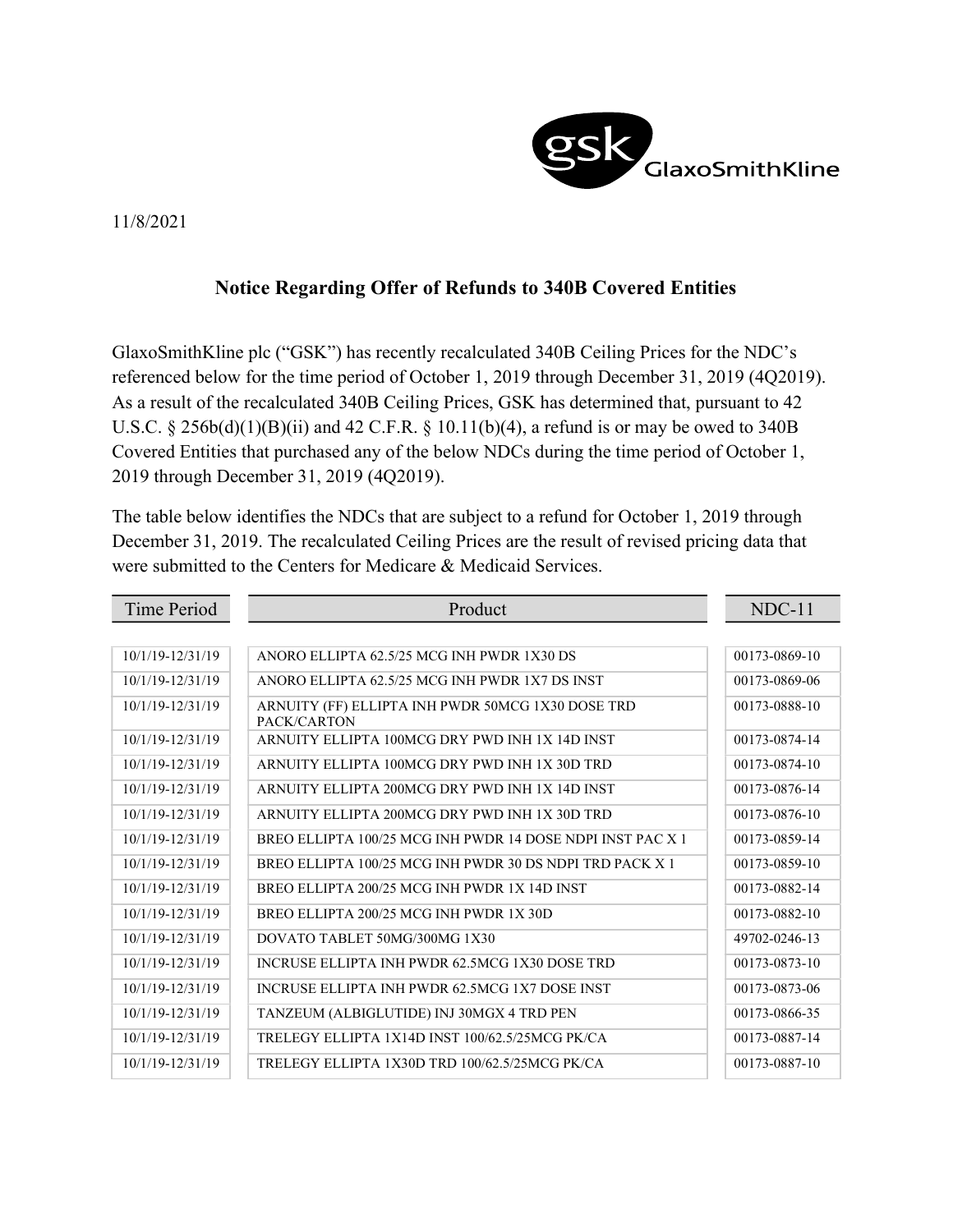

## 11/8/2021

## Notice Regarding Offer of Refunds to 340B Covered Entities

GlaxoSmithKline plc ("GSK") has recently recalculated 340B Ceiling Prices for the NDC's referenced below for the time period of October 1, 2019 through December 31, 2019 (4Q2019). As a result of the recalculated 340B Ceiling Prices, GSK has determined that, pursuant to 42 U.S.C. § 256b(d)(1)(B)(ii) and 42 C.F.R. § 10.11(b)(4), a refund is or may be owed to 340B Covered Entities that purchased any of the below NDCs during the time period of October 1, 2019 through December 31, 2019 (4Q2019).

The table below identifies the NDCs that are subject to a refund for October 1, 2019 through December 31, 2019. The recalculated Ceiling Prices are the result of revised pricing data that were submitted to the Centers for Medicare & Medicaid Services.

| Time Period      | Product                                                          | $NDC-11$      |
|------------------|------------------------------------------------------------------|---------------|
|                  |                                                                  |               |
| 10/1/19-12/31/19 | ANORO ELLIPTA 62.5/25 MCG INH PWDR 1X30 DS                       | 00173-0869-10 |
| 10/1/19-12/31/19 | ANORO ELLIPTA 62.5/25 MCG INH PWDR 1X7 DS INST                   | 00173-0869-06 |
| 10/1/19-12/31/19 | ARNUITY (FF) ELLIPTA INH PWDR 50MCG 1X30 DOSE TRD<br>PACK/CARTON | 00173-0888-10 |
| 10/1/19-12/31/19 | ARNUITY ELLIPTA 100MCG DRY PWD INH 1X 14D INST                   | 00173-0874-14 |
| 10/1/19-12/31/19 | ARNUITY ELLIPTA 100MCG DRY PWD INH 1X 30D TRD                    | 00173-0874-10 |
| 10/1/19-12/31/19 | ARNUITY ELLIPTA 200MCG DRY PWD INH 1X 14D INST                   | 00173-0876-14 |
| 10/1/19-12/31/19 | ARNUITY ELLIPTA 200MCG DRY PWD INH 1X 30D TRD                    | 00173-0876-10 |
| 10/1/19-12/31/19 | BREO ELLIPTA 100/25 MCG INH PWDR 14 DOSE NDPI INST PAC X 1       | 00173-0859-14 |
| 10/1/19-12/31/19 | BREO ELLIPTA 100/25 MCG INH PWDR 30 DS NDPI TRD PACK X 1         | 00173-0859-10 |
| 10/1/19-12/31/19 | BREO ELLIPTA 200/25 MCG INH PWDR 1X 14D INST                     | 00173-0882-14 |
| 10/1/19-12/31/19 | BREO ELLIPTA 200/25 MCG INH PWDR 1X 30D                          | 00173-0882-10 |
| 10/1/19-12/31/19 | DOVATO TABLET 50MG/300MG 1X30                                    | 49702-0246-13 |
| 10/1/19-12/31/19 | INCRUSE ELLIPTA INH PWDR 62.5MCG 1X30 DOSE TRD                   | 00173-0873-10 |
| 10/1/19-12/31/19 | INCRUSE ELLIPTA INH PWDR 62.5MCG 1X7 DOSE INST                   | 00173-0873-06 |
| 10/1/19-12/31/19 | TANZEUM (ALBIGLUTIDE) INJ 30MGX 4 TRD PEN                        | 00173-0866-35 |
| 10/1/19-12/31/19 | TRELEGY ELLIPTA 1X14D INST 100/62.5/25MCG PK/CA                  | 00173-0887-14 |
| 10/1/19-12/31/19 | TRELEGY ELLIPTA 1X30D TRD 100/62.5/25MCG PK/CA                   | 00173-0887-10 |